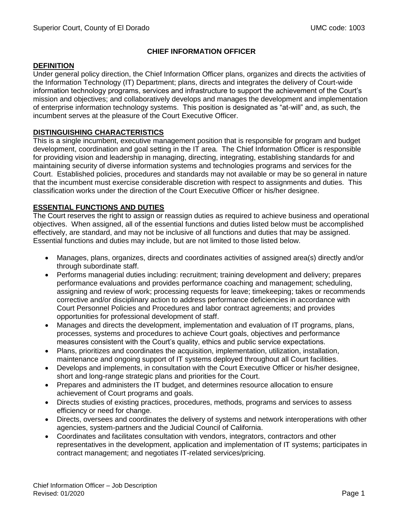# **CHIEF INFORMATION OFFICER**

#### **DEFINITION**

Under general policy direction, the Chief Information Officer plans, organizes and directs the activities of the Information Technology (IT) Department; plans, directs and integrates the delivery of Court-wide information technology programs, services and infrastructure to support the achievement of the Court's mission and objectives; and collaboratively develops and manages the development and implementation of enterprise information technology systems. This position is designated as "at-will" and, as such, the incumbent serves at the pleasure of the Court Executive Officer.

## **DISTINGUISHING CHARACTERISTICS**

This is a single incumbent, executive management position that is responsible for program and budget development, coordination and goal setting in the IT area. The Chief Information Officer is responsible for providing vision and leadership in managing, directing, integrating, establishing standards for and maintaining security of diverse information systems and technologies programs and services for the Court. Established policies, procedures and standards may not available or may be so general in nature that the incumbent must exercise considerable discretion with respect to assignments and duties. This classification works under the direction of the Court Executive Officer or his/her designee.

## **ESSENTIAL FUNCTIONS AND DUTIES**

The Court reserves the right to assign or reassign duties as required to achieve business and operational objectives. When assigned, all of the essential functions and duties listed below must be accomplished effectively, are standard, and may not be inclusive of all functions and duties that may be assigned. Essential functions and duties may include, but are not limited to those listed below.

- Manages, plans, organizes, directs and coordinates activities of assigned area(s) directly and/or through subordinate staff.
- Performs managerial duties including: recruitment; training development and delivery; prepares performance evaluations and provides performance coaching and management; scheduling, assigning and review of work; processing requests for leave; timekeeping; takes or recommends corrective and/or disciplinary action to address performance deficiencies in accordance with Court Personnel Policies and Procedures and labor contract agreements; and provides opportunities for professional development of staff.
- Manages and directs the development, implementation and evaluation of IT programs, plans, processes, systems and procedures to achieve Court goals, objectives and performance measures consistent with the Court's quality, ethics and public service expectations.
- Plans, prioritizes and coordinates the acquisition, implementation, utilization, installation, maintenance and ongoing support of IT systems deployed throughout all Court facilities.
- Develops and implements, in consultation with the Court Executive Officer or his/her designee, short and long-range strategic plans and priorities for the Court.
- Prepares and administers the IT budget, and determines resource allocation to ensure achievement of Court programs and goals.
- Directs studies of existing practices, procedures, methods, programs and services to assess efficiency or need for change.
- Directs, oversees and coordinates the delivery of systems and network interoperations with other agencies, system-partners and the Judicial Council of California.
- Coordinates and facilitates consultation with vendors, integrators, contractors and other representatives in the development, application and implementation of IT systems; participates in contract management; and negotiates IT-related services/pricing.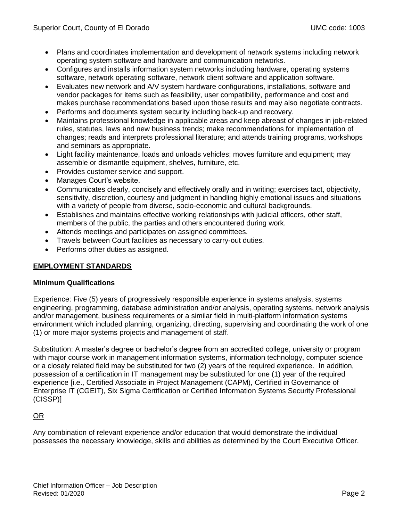- Plans and coordinates implementation and development of network systems including network operating system software and hardware and communication networks.
- Configures and installs information system networks including hardware, operating systems software, network operating software, network client software and application software.
- Evaluates new network and A/V system hardware configurations, installations, software and vendor packages for items such as feasibility, user compatibility, performance and cost and makes purchase recommendations based upon those results and may also negotiate contracts.
- Performs and documents system security including back-up and recovery.
- Maintains professional knowledge in applicable areas and keep abreast of changes in job-related rules, statutes, laws and new business trends; make recommendations for implementation of changes; reads and interprets professional literature; and attends training programs, workshops and seminars as appropriate.
- Light facility maintenance, loads and unloads vehicles; moves furniture and equipment; may assemble or dismantle equipment, shelves, furniture, etc.
- Provides customer service and support.
- Manages Court's website.
- Communicates clearly, concisely and effectively orally and in writing; exercises tact, objectivity, sensitivity, discretion, courtesy and judgment in handling highly emotional issues and situations with a variety of people from diverse, socio-economic and cultural backgrounds.
- Establishes and maintains effective working relationships with judicial officers, other staff, members of the public, the parties and others encountered during work.
- Attends meetings and participates on assigned committees.
- Travels between Court facilities as necessary to carry-out duties.
- Performs other duties as assigned.

# **EMPLOYMENT STANDARDS**

### **Minimum Qualifications**

Experience: Five (5) years of progressively responsible experience in systems analysis, systems engineering, programming, database administration and/or analysis, operating systems, network analysis and/or management, business requirements or a similar field in multi-platform information systems environment which included planning, organizing, directing, supervising and coordinating the work of one (1) or more major systems projects and management of staff.

Substitution: A master's degree or bachelor's degree from an accredited college, university or program with major course work in management information systems, information technology, computer science or a closely related field may be substituted for two (2) years of the required experience. In addition, possession of a certification in IT management may be substituted for one (1) year of the required experience [i.e., Certified Associate in Project Management (CAPM), Certified in Governance of Enterprise IT (CGEIT), Six Sigma Certification or Certified Information Systems Security Professional (CISSP)]

### OR

Any combination of relevant experience and/or education that would demonstrate the individual possesses the necessary knowledge, skills and abilities as determined by the Court Executive Officer.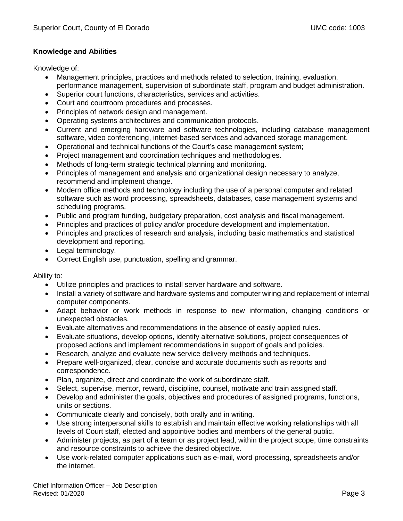### **Knowledge and Abilities**

Knowledge of:

- Management principles, practices and methods related to selection, training, evaluation, performance management, supervision of subordinate staff, program and budget administration.
- Superior court functions, characteristics, services and activities.
- Court and courtroom procedures and processes.
- Principles of network design and management.
- Operating systems architectures and communication protocols.
- Current and emerging hardware and software technologies, including database management software, video conferencing, internet-based services and advanced storage management.
- Operational and technical functions of the Court's case management system;
- Project management and coordination techniques and methodologies.
- Methods of long-term strategic technical planning and monitoring.
- Principles of management and analysis and organizational design necessary to analyze, recommend and implement change.
- Modern office methods and technology including the use of a personal computer and related software such as word processing, spreadsheets, databases, case management systems and scheduling programs.
- Public and program funding, budgetary preparation, cost analysis and fiscal management.
- Principles and practices of policy and/or procedure development and implementation.
- Principles and practices of research and analysis, including basic mathematics and statistical development and reporting.
- Legal terminology.
- Correct English use, punctuation, spelling and grammar.

Ability to:

- Utilize principles and practices to install server hardware and software.
- Install a variety of software and hardware systems and computer wiring and replacement of internal computer components.
- Adapt behavior or work methods in response to new information, changing conditions or unexpected obstacles.
- Evaluate alternatives and recommendations in the absence of easily applied rules.
- Evaluate situations, develop options, identify alternative solutions, project consequences of proposed actions and implement recommendations in support of goals and policies.
- Research, analyze and evaluate new service delivery methods and techniques.
- Prepare well-organized, clear, concise and accurate documents such as reports and correspondence.
- Plan, organize, direct and coordinate the work of subordinate staff.
- Select, supervise, mentor, reward, discipline, counsel, motivate and train assigned staff.
- Develop and administer the goals, objectives and procedures of assigned programs, functions, units or sections.
- Communicate clearly and concisely, both orally and in writing.
- Use strong interpersonal skills to establish and maintain effective working relationships with all levels of Court staff, elected and appointive bodies and members of the general public.
- Administer projects, as part of a team or as project lead, within the project scope, time constraints and resource constraints to achieve the desired objective.
- Use work-related computer applications such as e-mail, word processing, spreadsheets and/or the internet.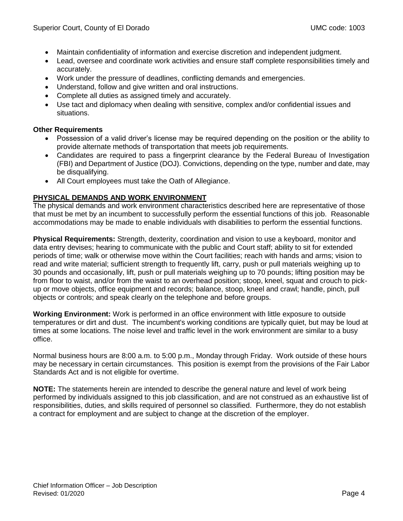- Maintain confidentiality of information and exercise discretion and independent judgment.
- Lead, oversee and coordinate work activities and ensure staff complete responsibilities timely and accurately.
- Work under the pressure of deadlines, conflicting demands and emergencies.
- Understand, follow and give written and oral instructions.
- Complete all duties as assigned timely and accurately.
- Use tact and diplomacy when dealing with sensitive, complex and/or confidential issues and situations.

## **Other Requirements**

- Possession of a valid driver's license may be required depending on the position or the ability to provide alternate methods of transportation that meets job requirements.
- Candidates are required to pass a fingerprint clearance by the Federal Bureau of Investigation (FBI) and Department of Justice (DOJ). Convictions, depending on the type, number and date, may be disqualifying.
- All Court employees must take the Oath of Allegiance.

# **PHYSICAL DEMANDS AND WORK ENVIRONMENT**

The physical demands and work environment characteristics described here are representative of those that must be met by an incumbent to successfully perform the essential functions of this job. Reasonable accommodations may be made to enable individuals with disabilities to perform the essential functions.

**Physical Requirements:** Strength, dexterity, coordination and vision to use a keyboard, monitor and data entry devises; hearing to communicate with the public and Court staff; ability to sit for extended periods of time; walk or otherwise move within the Court facilities; reach with hands and arms; vision to read and write material; sufficient strength to frequently lift, carry, push or pull materials weighing up to 30 pounds and occasionally, lift, push or pull materials weighing up to 70 pounds; lifting position may be from floor to waist, and/or from the waist to an overhead position; stoop, kneel, squat and crouch to pickup or move objects, office equipment and records; balance, stoop, kneel and crawl; handle, pinch, pull objects or controls; and speak clearly on the telephone and before groups.

**Working Environment:** Work is performed in an office environment with little exposure to outside temperatures or dirt and dust. The incumbent's working conditions are typically quiet, but may be loud at times at some locations. The noise level and traffic level in the work environment are similar to a busy office.

Normal business hours are 8:00 a.m. to 5:00 p.m., Monday through Friday. Work outside of these hours may be necessary in certain circumstances. This position is exempt from the provisions of the Fair Labor Standards Act and is not eligible for overtime.

**NOTE:** The statements herein are intended to describe the general nature and level of work being performed by individuals assigned to this job classification, and are not construed as an exhaustive list of responsibilities, duties, and skills required of personnel so classified. Furthermore, they do not establish a contract for employment and are subject to change at the discretion of the employer.